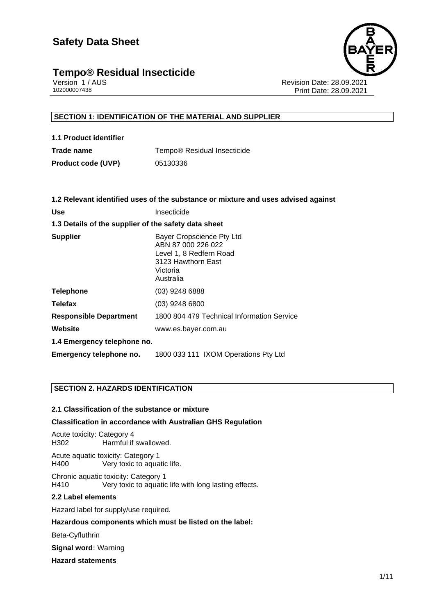# **Tempo® Residual Insecticide**<br>Version 1/AUS



Version 1 / AUS Revision Date: 28.09.2021 Print Date: 28.09.2021

#### **SECTION 1: IDENTIFICATION OF THE MATERIAL AND SUPPLIER**

| 1.1 Product identifier    |                                         |
|---------------------------|-----------------------------------------|
| Trade name                | Tempo <sup>®</sup> Residual Insecticide |
| <b>Product code (UVP)</b> | 05130336                                |

| 1.2 Relevant identified uses of the substance or mixture and uses advised against                                         |  |  |  |
|---------------------------------------------------------------------------------------------------------------------------|--|--|--|
| Insecticide                                                                                                               |  |  |  |
| 1.3 Details of the supplier of the safety data sheet                                                                      |  |  |  |
| Bayer Cropscience Pty Ltd<br>ABN 87 000 226 022<br>Level 1, 8 Redfern Road<br>3123 Hawthorn East<br>Victoria<br>Australia |  |  |  |
| $(03)$ 9248 6888                                                                                                          |  |  |  |
| $(03)$ 9248 6800                                                                                                          |  |  |  |
| 1800 804 479 Technical Information Service                                                                                |  |  |  |
| www.es.bayer.com.au                                                                                                       |  |  |  |
| 1.4 Emergency telephone no.                                                                                               |  |  |  |
| 1800 033 111 IXOM Operations Pty Ltd                                                                                      |  |  |  |
|                                                                                                                           |  |  |  |

#### **SECTION 2. HAZARDS IDENTIFICATION**

#### **2.1 Classification of the substance or mixture**

#### **Classification in accordance with Australian GHS Regulation**

Acute toxicity: Category 4 H302 Harmful if swallowed.

Acute aquatic toxicity: Category 1 H400 Very toxic to aquatic life.

Chronic aquatic toxicity: Category 1<br>
H410 Very toxic to aquatic Very toxic to aquatic life with long lasting effects.

#### **2.2 Label elements**

Hazard label for supply/use required.

**Hazardous components which must be listed on the label:**

Beta-Cyfluthrin

**Signal word:** Warning

**Hazard statements**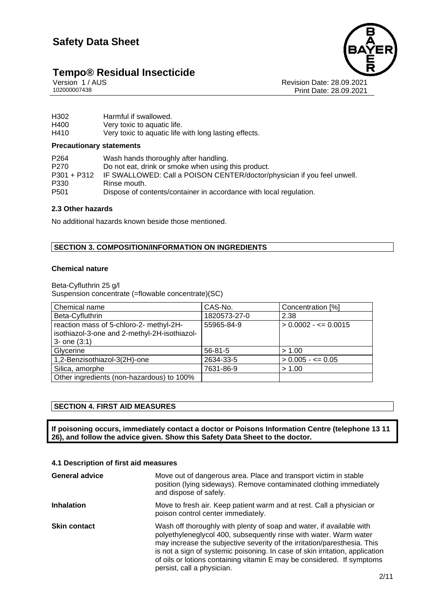# **Tempo® Residual Insecticide**<br> **Version 1/AUS**<br>
102000007438





Revision Date: 28.09.2021 Print Date: 28.09.2021

| H302 | Harmful if swallowed.                                 |
|------|-------------------------------------------------------|
| H400 | Very toxic to aquatic life.                           |
| H410 | Very toxic to aquatic life with long lasting effects. |

#### **Precautionary statements**

| P <sub>264</sub> | Wash hands thoroughly after handling.                                   |
|------------------|-------------------------------------------------------------------------|
| P <sub>270</sub> | Do not eat, drink or smoke when using this product.                     |
| P301 + P312      | IF SWALLOWED: Call a POISON CENTER/doctor/physician if you feel unwell. |
| P330             | Rinse mouth.                                                            |
| P <sub>501</sub> | Dispose of contents/container in accordance with local regulation.      |

#### **2.3 Other hazards**

No additional hazards known beside those mentioned.

#### **SECTION 3. COMPOSITION/INFORMATION ON INGREDIENTS**

#### **Chemical nature**

Beta-Cyfluthrin 25 g/l Suspension concentrate (=flowable concentrate)(SC)

| Chemical name                                | CAS-No.       | Concentration [%]       |
|----------------------------------------------|---------------|-------------------------|
| Beta-Cyfluthrin                              | 1820573-27-0  | 2.38                    |
| reaction mass of 5-chloro-2- methyl-2H-      | 55965-84-9    | $> 0.0002 - \le 0.0015$ |
| isothiazol-3-one and 2-methyl-2H-isothiazol- |               |                         |
| $3 -$ one $(3:1)$                            |               |                         |
| Glycerine                                    | $56 - 81 - 5$ | > 1.00                  |
| 1,2-Benzisothiazol-3(2H)-one                 | 2634-33-5     | $> 0.005 - \leq 0.05$   |
| Silica, amorphe                              | 7631-86-9     | > 1.00                  |
| Other ingredients (non-hazardous) to 100%    |               |                         |

#### **SECTION 4. FIRST AID MEASURES**

**If poisoning occurs, immediately contact a doctor or Poisons Information Centre (telephone 13 11 26), and follow the advice given. Show this Safety Data Sheet to the doctor.**

#### **4.1 Description of first aid measures**

| <b>General advice</b> | Move out of dangerous area. Place and transport victim in stable<br>position (lying sideways). Remove contaminated clothing immediately<br>and dispose of safely.                                                                                                                                                                                                                                             |  |
|-----------------------|---------------------------------------------------------------------------------------------------------------------------------------------------------------------------------------------------------------------------------------------------------------------------------------------------------------------------------------------------------------------------------------------------------------|--|
| <b>Inhalation</b>     | Move to fresh air. Keep patient warm and at rest. Call a physician or<br>poison control center immediately.                                                                                                                                                                                                                                                                                                   |  |
| <b>Skin contact</b>   | Wash off thoroughly with plenty of soap and water, if available with<br>polyethyleneglycol 400, subsequently rinse with water. Warm water<br>may increase the subjective severity of the irritation/paresthesia. This<br>is not a sign of systemic poisoning. In case of skin irritation, application<br>of oils or lotions containing vitamin E may be considered. If symptoms<br>persist, call a physician. |  |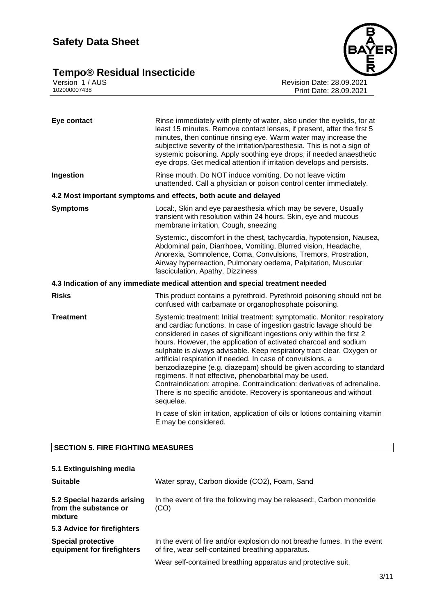## **Safety Data Sheet**

### **Tempo® Residual Insecticide 3/11**



Version 1 / AUS Revision Date: 28.09.2021 102000007438 Print Date: 28.09.2021

| Eye contact      | Rinse immediately with plenty of water, also under the eyelids, for at<br>least 15 minutes. Remove contact lenses, if present, after the first 5<br>minutes, then continue rinsing eye. Warm water may increase the<br>subjective severity of the irritation/paresthesia. This is not a sign of<br>systemic poisoning. Apply soothing eye drops, if needed anaesthetic<br>eye drops. Get medical attention if irritation develops and persists.                                                                                                                                                                                                                                                                                        |  |
|------------------|----------------------------------------------------------------------------------------------------------------------------------------------------------------------------------------------------------------------------------------------------------------------------------------------------------------------------------------------------------------------------------------------------------------------------------------------------------------------------------------------------------------------------------------------------------------------------------------------------------------------------------------------------------------------------------------------------------------------------------------|--|
| Ingestion        | Rinse mouth. Do NOT induce vomiting. Do not leave victim<br>unattended. Call a physician or poison control center immediately.                                                                                                                                                                                                                                                                                                                                                                                                                                                                                                                                                                                                         |  |
|                  | 4.2 Most important symptoms and effects, both acute and delayed                                                                                                                                                                                                                                                                                                                                                                                                                                                                                                                                                                                                                                                                        |  |
| <b>Symptoms</b>  | Local:, Skin and eye paraesthesia which may be severe, Usually<br>transient with resolution within 24 hours, Skin, eye and mucous<br>membrane irritation, Cough, sneezing                                                                                                                                                                                                                                                                                                                                                                                                                                                                                                                                                              |  |
|                  | Systemic:, discomfort in the chest, tachycardia, hypotension, Nausea,<br>Abdominal pain, Diarrhoea, Vomiting, Blurred vision, Headache,<br>Anorexia, Somnolence, Coma, Convulsions, Tremors, Prostration,<br>Airway hyperreaction, Pulmonary oedema, Palpitation, Muscular<br>fasciculation, Apathy, Dizziness                                                                                                                                                                                                                                                                                                                                                                                                                         |  |
|                  | 4.3 Indication of any immediate medical attention and special treatment needed                                                                                                                                                                                                                                                                                                                                                                                                                                                                                                                                                                                                                                                         |  |
| <b>Risks</b>     | This product contains a pyrethroid. Pyrethroid poisoning should not be<br>confused with carbamate or organophosphate poisoning.                                                                                                                                                                                                                                                                                                                                                                                                                                                                                                                                                                                                        |  |
| <b>Treatment</b> | Systemic treatment: Initial treatment: symptomatic. Monitor: respiratory<br>and cardiac functions. In case of ingestion gastric lavage should be<br>considered in cases of significant ingestions only within the first 2<br>hours. However, the application of activated charcoal and sodium<br>sulphate is always advisable. Keep respiratory tract clear. Oxygen or<br>artificial respiration if needed. In case of convulsions, a<br>benzodiazepine (e.g. diazepam) should be given according to standard<br>regimens. If not effective, phenobarbital may be used.<br>Contraindication: atropine. Contraindication: derivatives of adrenaline.<br>There is no specific antidote. Recovery is spontaneous and without<br>sequelae. |  |
|                  | In case of skin irritation, application of oils or lotions containing vitamin<br>E may be considered.                                                                                                                                                                                                                                                                                                                                                                                                                                                                                                                                                                                                                                  |  |

#### **SECTION 5. FIRE FIGHTING MEASURES**

| 5.1 Extinguishing media                                         |                                                                                                                               |  |  |
|-----------------------------------------------------------------|-------------------------------------------------------------------------------------------------------------------------------|--|--|
| <b>Suitable</b>                                                 | Water spray, Carbon dioxide (CO2), Foam, Sand                                                                                 |  |  |
| 5.2 Special hazards arising<br>from the substance or<br>mixture | In the event of fire the following may be released:, Carbon monoxide<br>(CO)                                                  |  |  |
| 5.3 Advice for firefighters                                     |                                                                                                                               |  |  |
| <b>Special protective</b><br>equipment for firefighters         | In the event of fire and/or explosion do not breathe fumes. In the event<br>of fire, wear self-contained breathing apparatus. |  |  |
|                                                                 | Wear self-contained breathing apparatus and protective suit.                                                                  |  |  |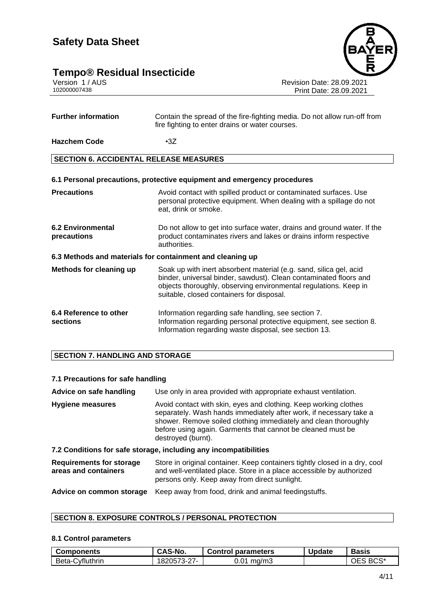# **Tempo® Residual Insecticide**<br> **Version 1/AUS**<br>
102000007438

4/11

**Further information** Contain the spread of the fire-fighting media. Do not allow run-off from fire fighting to enter drains or water courses. **Hazchem Code** •3Z

#### **SECTION 6. ACCIDENTAL RELEASE MEASURES**

#### **6.1 Personal precautions, protective equipment and emergency procedures**

| <b>Precautions</b>                                        | Avoid contact with spilled product or contaminated surfaces. Use<br>personal protective equipment. When dealing with a spillage do not<br>eat, drink or smoke.                                                                                           |  |  |  |  |
|-----------------------------------------------------------|----------------------------------------------------------------------------------------------------------------------------------------------------------------------------------------------------------------------------------------------------------|--|--|--|--|
| <b>6.2 Environmental</b><br>precautions                   | Do not allow to get into surface water, drains and ground water. If the<br>product contaminates rivers and lakes or drains inform respective<br>authorities.                                                                                             |  |  |  |  |
| 6.3 Methods and materials for containment and cleaning up |                                                                                                                                                                                                                                                          |  |  |  |  |
| Methods for cleaning up                                   | Soak up with inert absorbent material (e.g. sand, silica gel, acid<br>binder, universal binder, sawdust). Clean contaminated floors and<br>objects thoroughly, observing environmental regulations. Keep in<br>suitable, closed containers for disposal. |  |  |  |  |
| 6.4 Reference to other<br>sections                        | Information regarding safe handling, see section 7.<br>Information regarding personal protective equipment, see section 8.<br>Information regarding waste disposal, see section 13.                                                                      |  |  |  |  |

#### **SECTION 7. HANDLING AND STORAGE**

#### **7.1 Precautions for safe handling**

| Advice on safe handling                                 | Use only in area provided with appropriate exhaust ventilation.                                                                                                                                                                                                                                |  |  |
|---------------------------------------------------------|------------------------------------------------------------------------------------------------------------------------------------------------------------------------------------------------------------------------------------------------------------------------------------------------|--|--|
| Hygiene measures                                        | Avoid contact with skin, eyes and clothing. Keep working clothes<br>separately. Wash hands immediately after work, if necessary take a<br>shower. Remove soiled clothing immediately and clean thoroughly<br>before using again. Garments that cannot be cleaned must be<br>destroyed (burnt). |  |  |
|                                                         | 7.2 Conditions for safe storage, including any incompatibilities                                                                                                                                                                                                                               |  |  |
| <b>Requirements for storage</b><br>areas and containers | Store in original container. Keep containers tightly closed in a dry, cool<br>and well-ventilated place. Store in a place accessible by authorized<br>persons only. Keep away from direct sunlight.                                                                                            |  |  |
| Advice on common storage                                | Keep away from food, drink and animal feedingstuffs.                                                                                                                                                                                                                                           |  |  |

#### **SECTION 8. EXPOSURE CONTROLS / PERSONAL PROTECTION**

#### **8.1 Control parameters**

| Components      | <b>CAS-No.</b> | <b>Control parameters</b> | <b>Update</b> | <b>Basis</b> |
|-----------------|----------------|---------------------------|---------------|--------------|
| Beta-Cyfluthrin | 1820573-27-    | $0.01 \text{ mg/m}$ 3     |               | OES BCS*     |



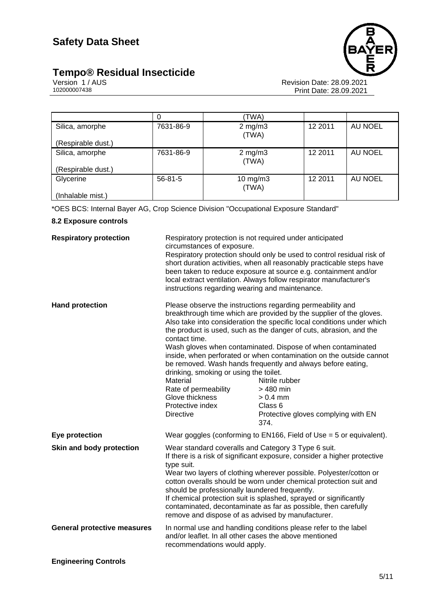## **Tempo® Residual Insecticide 5/11**



Version 1 / AUS Revision Date: 28.09.2021 102000007438 Print Date: 28.09.2021

|                    |               | 'TWA)                  |         |         |
|--------------------|---------------|------------------------|---------|---------|
| Silica, amorphe    | 7631-86-9     | $2$ mg/m $3$<br>(TWA)  | 12 2011 | AU NOEL |
| (Respirable dust.) |               |                        |         |         |
| Silica, amorphe    | 7631-86-9     | $2$ mg/m $3$<br>(TWA)  | 12 2011 | AU NOEL |
| (Respirable dust.) |               |                        |         |         |
| Glycerine          | $56 - 81 - 5$ | $10$ mg/m $3$<br>(TWA) | 12 2011 | AU NOEL |
| (Inhalable mist.)  |               |                        |         |         |

\*OES BCS: Internal Bayer AG, Crop Science Division "Occupational Exposure Standard"

#### **8.2 Exposure controls**

| <b>Respiratory protection</b>      | Respiratory protection is not required under anticipated<br>circumstances of exposure.<br>instructions regarding wearing and maintenance.                                                                                                                                                                                                                                                                                                                                                                                              | Respiratory protection should only be used to control residual risk of<br>short duration activities, when all reasonably practicable steps have<br>been taken to reduce exposure at source e.g. containment and/or<br>local extract ventilation. Always follow respirator manufacturer's                                                                                                                                                                                                                                                                                                                 |
|------------------------------------|----------------------------------------------------------------------------------------------------------------------------------------------------------------------------------------------------------------------------------------------------------------------------------------------------------------------------------------------------------------------------------------------------------------------------------------------------------------------------------------------------------------------------------------|----------------------------------------------------------------------------------------------------------------------------------------------------------------------------------------------------------------------------------------------------------------------------------------------------------------------------------------------------------------------------------------------------------------------------------------------------------------------------------------------------------------------------------------------------------------------------------------------------------|
| <b>Hand protection</b>             | contact time.<br>drinking, smoking or using the toilet.<br>Material<br>Rate of permeability<br>Glove thickness<br>Protective index<br><b>Directive</b>                                                                                                                                                                                                                                                                                                                                                                                 | Please observe the instructions regarding permeability and<br>breakthrough time which are provided by the supplier of the gloves.<br>Also take into consideration the specific local conditions under which<br>the product is used, such as the danger of cuts, abrasion, and the<br>Wash gloves when contaminated. Dispose of when contaminated<br>inside, when perforated or when contamination on the outside cannot<br>be removed. Wash hands frequently and always before eating,<br>Nitrile rubber<br>> 480 min<br>$> 0.4$ mm<br>Class <sub>6</sub><br>Protective gloves complying with EN<br>374. |
| Eye protection                     |                                                                                                                                                                                                                                                                                                                                                                                                                                                                                                                                        | Wear goggles (conforming to EN166, Field of Use $=$ 5 or equivalent).                                                                                                                                                                                                                                                                                                                                                                                                                                                                                                                                    |
| Skin and body protection           | Wear standard coveralls and Category 3 Type 6 suit.<br>If there is a risk of significant exposure, consider a higher protective<br>type suit.<br>Wear two layers of clothing wherever possible. Polyester/cotton or<br>cotton overalls should be worn under chemical protection suit and<br>should be professionally laundered frequently.<br>If chemical protection suit is splashed, sprayed or significantly<br>contaminated, decontaminate as far as possible, then carefully<br>remove and dispose of as advised by manufacturer. |                                                                                                                                                                                                                                                                                                                                                                                                                                                                                                                                                                                                          |
| <b>General protective measures</b> | and/or leaflet. In all other cases the above mentioned<br>recommendations would apply.                                                                                                                                                                                                                                                                                                                                                                                                                                                 | In normal use and handling conditions please refer to the label                                                                                                                                                                                                                                                                                                                                                                                                                                                                                                                                          |
| <b>Engineering Controls</b>        |                                                                                                                                                                                                                                                                                                                                                                                                                                                                                                                                        |                                                                                                                                                                                                                                                                                                                                                                                                                                                                                                                                                                                                          |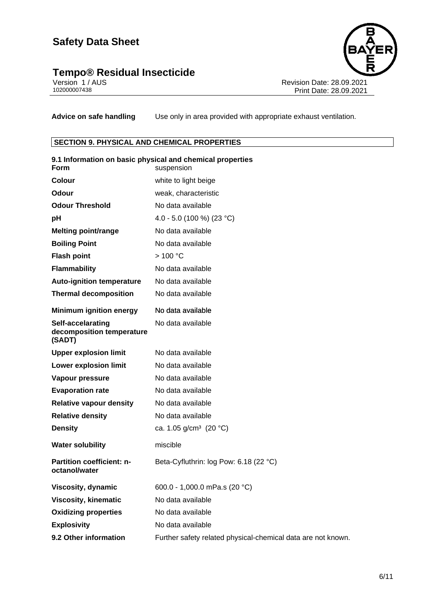### **Tempo® Residual Insecticide 6/11**



Version 1 / AUS Revision Date: 28.09.2021 102000007438 Print Date: 28.09.2021

**Advice on safe handling** Use only in area provided with appropriate exhaust ventilation.

#### **SECTION 9. PHYSICAL AND CHEMICAL PROPERTIES**

| <b>Form</b>                                              | 9.1 Information on basic physical and chemical properties<br>suspension |
|----------------------------------------------------------|-------------------------------------------------------------------------|
| Colour                                                   | white to light beige                                                    |
| Odour                                                    | weak, characteristic                                                    |
| <b>Odour Threshold</b>                                   | No data available                                                       |
| рH                                                       | 4.0 - 5.0 (100 %) (23 °C)                                               |
| <b>Melting point/range</b>                               | No data available                                                       |
| <b>Boiling Point</b>                                     | No data available                                                       |
| <b>Flash point</b>                                       | >100 °C                                                                 |
| <b>Flammability</b>                                      | No data available                                                       |
| <b>Auto-ignition temperature</b>                         | No data available                                                       |
| <b>Thermal decomposition</b>                             | No data available                                                       |
| <b>Minimum ignition energy</b>                           | No data available                                                       |
| Self-accelarating<br>decomposition temperature<br>(SADT) | No data available                                                       |
| <b>Upper explosion limit</b>                             | No data available                                                       |
| <b>Lower explosion limit</b>                             | No data available                                                       |
| Vapour pressure                                          | No data available                                                       |
| <b>Evaporation rate</b>                                  | No data available                                                       |
| <b>Relative vapour density</b>                           | No data available                                                       |
| <b>Relative density</b>                                  | No data available                                                       |
| <b>Density</b>                                           | ca. 1.05 g/cm <sup>3</sup> (20 °C)                                      |
| <b>Water solubility</b>                                  | miscible                                                                |
| <b>Partition coefficient: n-</b><br>octanol/water        | Beta-Cyfluthrin: log Pow: 6.18 (22 °C)                                  |
| Viscosity, dynamic                                       | 600.0 - 1,000.0 mPa.s (20 °C)                                           |
| <b>Viscosity, kinematic</b>                              | No data available                                                       |
| <b>Oxidizing properties</b>                              | No data available                                                       |
| <b>Explosivity</b>                                       | No data available                                                       |
| 9.2 Other information                                    | Further safety related physical-chemical data are not known.            |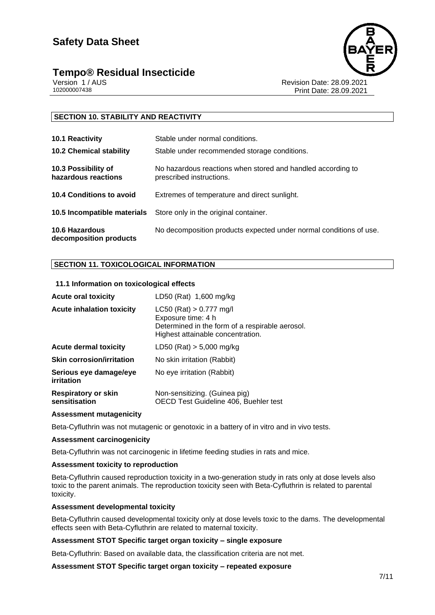## **Tempo® Residual Insecticide 7/11**



Version 1 / AUS الكروت المستخدم المستخدم المستخدم المستخدم المستخدم المستخدم المستخدم المستخدم المستخدم المستخ<br>28.09.2021 102000007438 Print Date: 28.09 Print Date: 28.09.2021

#### **SECTION 10. STABILITY AND REACTIVITY**

| 10.1 Reactivity                                 | Stable under normal conditions.                                                         |
|-------------------------------------------------|-----------------------------------------------------------------------------------------|
| <b>10.2 Chemical stability</b>                  | Stable under recommended storage conditions.                                            |
| 10.3 Possibility of<br>hazardous reactions      | No hazardous reactions when stored and handled according to<br>prescribed instructions. |
| 10.4 Conditions to avoid                        | Extremes of temperature and direct sunlight.                                            |
|                                                 | <b>10.5 Incompatible materials</b> Store only in the original container.                |
| <b>10.6 Hazardous</b><br>decomposition products | No decomposition products expected under normal conditions of use.                      |

#### **SECTION 11. TOXICOLOGICAL INFORMATION**

#### **11.1 Information on toxicological effects**

| <b>Acute oral toxicity</b>                  | LD50 (Rat) 1,600 mg/kg                                                                                                                    |
|---------------------------------------------|-------------------------------------------------------------------------------------------------------------------------------------------|
| <b>Acute inhalation toxicity</b>            | $LC50$ (Rat) $> 0.777$ mg/l<br>Exposure time: 4 h<br>Determined in the form of a respirable aerosol.<br>Highest attainable concentration. |
| <b>Acute dermal toxicity</b>                | LD50 (Rat) $> 5,000$ mg/kg                                                                                                                |
| Skin corrosion/irritation                   | No skin irritation (Rabbit)                                                                                                               |
| Serious eye damage/eye<br>irritation        | No eye irritation (Rabbit)                                                                                                                |
| <b>Respiratory or skin</b><br>sensitisation | Non-sensitizing. (Guinea pig)<br>OECD Test Guideline 406, Buehler test                                                                    |

#### **Assessment mutagenicity**

Beta-Cyfluthrin was not mutagenic or genotoxic in a battery of in vitro and in vivo tests.

#### **Assessment carcinogenicity**

Beta-Cyfluthrin was not carcinogenic in lifetime feeding studies in rats and mice.

#### **Assessment toxicity to reproduction**

Beta-Cyfluthrin caused reproduction toxicity in a two-generation study in rats only at dose levels also toxic to the parent animals. The reproduction toxicity seen with Beta-Cyfluthrin is related to parental toxicity.

#### **Assessment developmental toxicity**

Beta-Cyfluthrin caused developmental toxicity only at dose levels toxic to the dams. The developmental effects seen with Beta-Cyfluthrin are related to maternal toxicity.

#### **Assessment STOT Specific target organ toxicity – single exposure**

Beta-Cyfluthrin: Based on available data, the classification criteria are not met.

**Assessment STOT Specific target organ toxicity – repeated exposure**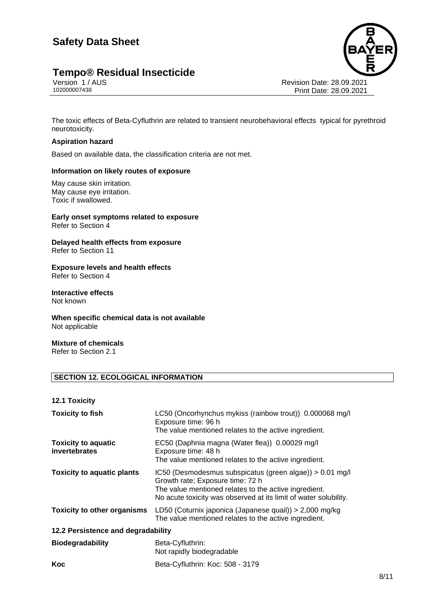# **Tempo® Residual Insecticide**<br>Version 1/AUS<br>102000007438



Revision Date: 28.09.2021 Print Date: 28.09.2021

The toxic effects of Beta-Cyfluthrin are related to transient neurobehavioral effects typical for pyrethroid neurotoxicity.

#### **Aspiration hazard**

Based on available data, the classification criteria are not met.

#### **Information on likely routes of exposure**

May cause skin irritation. May cause eye irritation. Toxic if swallowed.

#### **Early onset symptoms related to exposure** Refer to Section 4

**Delayed health effects from exposure** Refer to Section 11

## **Exposure levels and health effects**

Refer to Section 4

#### **Interactive effects** Not known

#### **When specific chemical data is not available** Not applicable

**Mixture of chemicals** Refer to Section 2.1

#### **SECTION 12. ECOLOGICAL INFORMATION**

#### **12.1 Toxicity**

| <b>Toxicity to fish</b>                     | LC50 (Oncorhynchus mykiss (rainbow trout)) 0.000068 mg/l<br>Exposure time: 96 h<br>The value mentioned relates to the active ingredient.                                                                                  |
|---------------------------------------------|---------------------------------------------------------------------------------------------------------------------------------------------------------------------------------------------------------------------------|
| <b>Toxicity to aquatic</b><br>invertebrates | EC50 (Daphnia magna (Water flea)) 0.00029 mg/l<br>Exposure time: 48 h<br>The value mentioned relates to the active ingredient.                                                                                            |
| <b>Toxicity to aquatic plants</b>           | IC50 (Desmodesmus subspicatus (green algae)) > 0.01 mg/l<br>Growth rate; Exposure time: 72 h<br>The value mentioned relates to the active ingredient.<br>No acute toxicity was observed at its limit of water solubility. |
| <b>Toxicity to other organisms</b>          | LD50 (Coturnix japonica (Japanese quail)) > 2,000 mg/kg<br>The value mentioned relates to the active ingredient.                                                                                                          |
| 12.2 Persistence and degradability          |                                                                                                                                                                                                                           |
| <b>Biodegradability</b>                     | Beta-Cyfluthrin:<br>Not rapidly biodegradable                                                                                                                                                                             |
| Koc                                         | Beta-Cyfluthrin: Koc: 508 - 3179                                                                                                                                                                                          |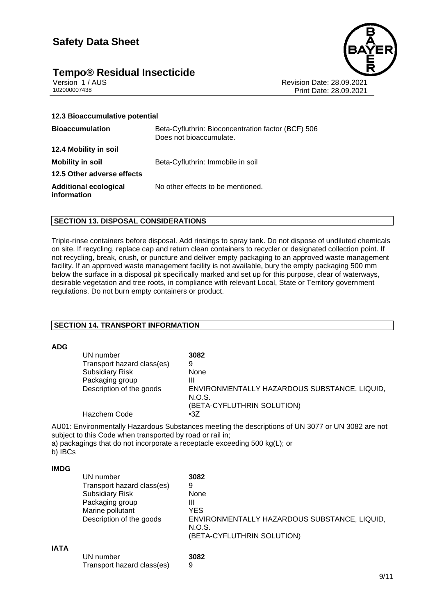## **Safety Data Sheet**

# **Tempo® Residual Insecticide**<br>Version 1/AUS



Version 1 / AUS Revision Date: 28.09.2021 Print Date: 28.09.2021

| 12.3 Bioaccumulative potential                                                |
|-------------------------------------------------------------------------------|
| Beta-Cyfluthrin: Bioconcentration factor (BCF) 506<br>Does not bioaccumulate. |
|                                                                               |
| Beta-Cyfluthrin: Immobile in soil                                             |
|                                                                               |
| No other effects to be mentioned.                                             |
|                                                                               |

#### **SECTION 13. DISPOSAL CONSIDERATIONS**

Triple-rinse containers before disposal. Add rinsings to spray tank. Do not dispose of undiluted chemicals on site. If recycling, replace cap and return clean containers to recycler or designated collection point. If not recycling, break, crush, or puncture and deliver empty packaging to an approved waste management facility. If an approved waste management facility is not available, bury the empty packaging 500 mm below the surface in a disposal pit specifically marked and set up for this purpose, clear of waterways, desirable vegetation and tree roots, in compliance with relevant Local, State or Territory government regulations. Do not burn empty containers or product.

#### **SECTION 14. TRANSPORT INFORMATION**

#### **ADG**

| UN number                  | 3082                                                   |
|----------------------------|--------------------------------------------------------|
|                            |                                                        |
| Transport hazard class(es) | 9                                                      |
| <b>Subsidiary Risk</b>     | <b>None</b>                                            |
| Packaging group            | Ш                                                      |
| Description of the goods   | ENVIRONMENTALLY HAZARDOUS SUBSTANCE, LIQUID,<br>N.O.S. |
|                            | (BETA-CYFLUTHRIN SOLUTION)                             |
| Hazchem Code               | $\cdot 37$                                             |

AU01: Environmentally Hazardous Substances meeting the descriptions of UN 3077 or UN 3082 are not subject to this Code when transported by road or rail in;

a) packagings that do not incorporate a receptacle exceeding 500 kg(L); or b) **IBCs** 

#### **IMDG**

|             | UN number                  | 3082                                                   |
|-------------|----------------------------|--------------------------------------------------------|
|             | Transport hazard class(es) | 9                                                      |
|             | <b>Subsidiary Risk</b>     | None                                                   |
|             | Packaging group            | Ш                                                      |
|             | Marine pollutant           | YES                                                    |
|             | Description of the goods   | ENVIRONMENTALLY HAZARDOUS SUBSTANCE, LIQUID,<br>N.O.S. |
|             |                            | (BETA-CYFLUTHRIN SOLUTION)                             |
| <b>IATA</b> |                            |                                                        |
|             | UN number                  | 3082                                                   |
|             | Transport hazard class(es) | 9                                                      |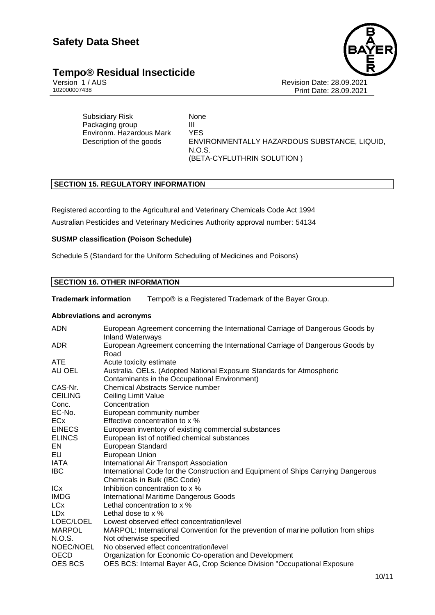# **Tempo® Residual Insecticide**<br>Version 1/AUS



Version 1 / AUS الكروت المستخدم المستخدم المستخدم المستخدم المستخدم المستخدم المستخدم المستخدم المستخدم المستخ<br>28.09.2021 102000007438 Print Date: 28.09 Print Date: 28.09.2021

Subsidiary Risk None Packaging group **III** Environm. Hazardous Mark YES Description of the goods ENVIRONMENTALLY HAZARDOUS SUBSTANCE, LIQUID, N.O.S. (BETA-CYFLUTHRIN SOLUTION )

#### **SECTION 15. REGULATORY INFORMATION**

Registered according to the Agricultural and Veterinary Chemicals Code Act 1994

Australian Pesticides and Veterinary Medicines Authority approval number: 54134

#### **SUSMP classification (Poison Schedule)**

Schedule 5 (Standard for the Uniform Scheduling of Medicines and Poisons)

#### **SECTION 16. OTHER INFORMATION**

**Trademark information** Tempo® is a Registered Trademark of the Bayer Group.

#### **Abbreviations and acronyms**

| <b>ADN</b>      | European Agreement concerning the International Carriage of Dangerous Goods by<br><b>Inland Waterways</b> |
|-----------------|-----------------------------------------------------------------------------------------------------------|
| ADR.            | European Agreement concerning the International Carriage of Dangerous Goods by                            |
|                 | Road                                                                                                      |
| ATE             | Acute toxicity estimate                                                                                   |
| AU OEL          | Australia. OELs. (Adopted National Exposure Standards for Atmospheric                                     |
|                 | Contaminants in the Occupational Environment)                                                             |
| CAS-Nr.         | <b>Chemical Abstracts Service number</b>                                                                  |
| <b>CEILING</b>  | Ceiling Limit Value                                                                                       |
| Conc.           | Concentration                                                                                             |
| EC-No.          | European community number                                                                                 |
| <b>ECx</b>      | Effective concentration to x %                                                                            |
| <b>EINECS</b>   | European inventory of existing commercial substances                                                      |
| <b>ELINCS</b>   | European list of notified chemical substances                                                             |
| EN.             | European Standard                                                                                         |
| EU              | European Union                                                                                            |
| IATA            | International Air Transport Association                                                                   |
| IBC.            | International Code for the Construction and Equipment of Ships Carrying Dangerous                         |
|                 | Chemicals in Bulk (IBC Code)                                                                              |
| <b>ICx</b>      | Inhibition concentration to x %                                                                           |
| <b>IMDG</b>     | <b>International Maritime Dangerous Goods</b>                                                             |
| LC <sub>x</sub> | Lethal concentration to x %                                                                               |
| LDx             | Lethal dose to $\times$ %                                                                                 |
| LOEC/LOEL       | Lowest observed effect concentration/level                                                                |
| <b>MARPOL</b>   | MARPOL: International Convention for the prevention of marine pollution from ships                        |
| N.O.S.          | Not otherwise specified                                                                                   |
| NOEC/NOEL       | No observed effect concentration/level                                                                    |
| <b>OECD</b>     | Organization for Economic Co-operation and Development                                                    |
| <b>OES BCS</b>  | OES BCS: Internal Bayer AG, Crop Science Division "Occupational Exposure                                  |